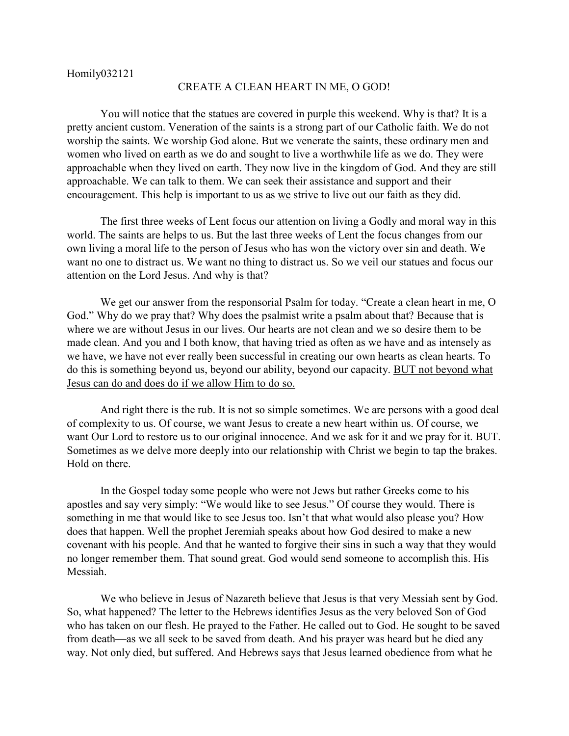## CREATE A CLEAN HEART IN ME, O GOD!

You will notice that the statues are covered in purple this weekend. Why is that? It is a pretty ancient custom. Veneration of the saints is a strong part of our Catholic faith. We do not worship the saints. We worship God alone. But we venerate the saints, these ordinary men and women who lived on earth as we do and sought to live a worthwhile life as we do. They were approachable when they lived on earth. They now live in the kingdom of God. And they are still approachable. We can talk to them. We can seek their assistance and support and their encouragement. This help is important to us as we strive to live out our faith as they did.

The first three weeks of Lent focus our attention on living a Godly and moral way in this world. The saints are helps to us. But the last three weeks of Lent the focus changes from our own living a moral life to the person of Jesus who has won the victory over sin and death. We want no one to distract us. We want no thing to distract us. So we veil our statues and focus our attention on the Lord Jesus. And why is that?

We get our answer from the responsorial Psalm for today. "Create a clean heart in me, O God." Why do we pray that? Why does the psalmist write a psalm about that? Because that is where we are without Jesus in our lives. Our hearts are not clean and we so desire them to be made clean. And you and I both know, that having tried as often as we have and as intensely as we have, we have not ever really been successful in creating our own hearts as clean hearts. To do this is something beyond us, beyond our ability, beyond our capacity. BUT not beyond what Jesus can do and does do if we allow Him to do so.

And right there is the rub. It is not so simple sometimes. We are persons with a good deal of complexity to us. Of course, we want Jesus to create a new heart within us. Of course, we want Our Lord to restore us to our original innocence. And we ask for it and we pray for it. BUT. Sometimes as we delve more deeply into our relationship with Christ we begin to tap the brakes. Hold on there.

In the Gospel today some people who were not Jews but rather Greeks come to his apostles and say very simply: "We would like to see Jesus." Of course they would. There is something in me that would like to see Jesus too. Isn't that what would also please you? How does that happen. Well the prophet Jeremiah speaks about how God desired to make a new covenant with his people. And that he wanted to forgive their sins in such a way that they would no longer remember them. That sound great. God would send someone to accomplish this. His Messiah.

We who believe in Jesus of Nazareth believe that Jesus is that very Messiah sent by God. So, what happened? The letter to the Hebrews identifies Jesus as the very beloved Son of God who has taken on our flesh. He prayed to the Father. He called out to God. He sought to be saved from death—as we all seek to be saved from death. And his prayer was heard but he died any way. Not only died, but suffered. And Hebrews says that Jesus learned obedience from what he